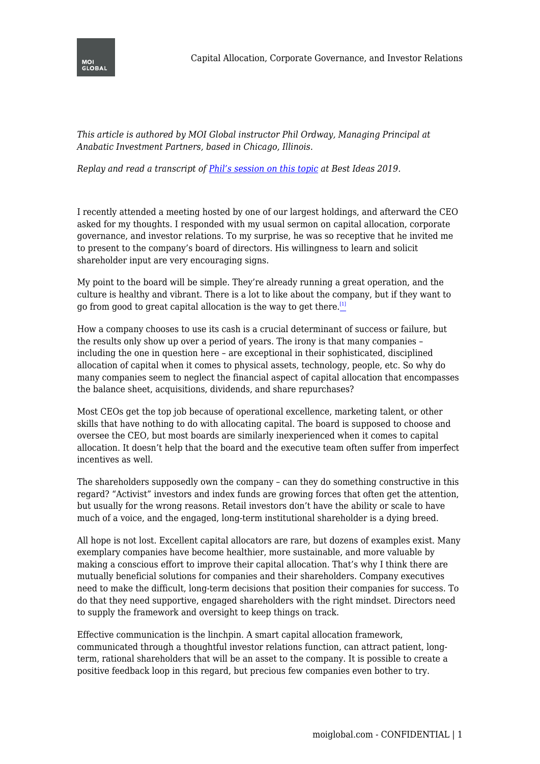

*This article is authored by MOI Global instructor Phil Ordway, Managing Principal at Anabatic Investment Partners, based in Chicago, Illinois.*

*Replay and read a transcript of [Phil's session on this topic](https://moiglobal.com/phil-ordway-201901/) at Best Ideas 2019.*

I recently attended a meeting hosted by one of our largest holdings, and afterward the CEO asked for my thoughts. I responded with my usual sermon on capital allocation, corporate governance, and investor relations. To my surprise, he was so receptive that he invited me to present to the company's board of directors. His willingness to learn and solicit shareholder input are very encouraging signs.

<span id="page-0-0"></span>My point to the board will be simple. They're already running a great operation, and the culture is healthy and vibrant. There is a lot to like about the company, but if they want to go from good to great capital allocation is the way to get there. $\frac{[1]}{2}$  $\frac{[1]}{2}$  $\frac{[1]}{2}$ 

How a company chooses to use its cash is a crucial determinant of success or failure, but the results only show up over a period of years. The irony is that many companies – including the one in question here – are exceptional in their sophisticated, disciplined allocation of capital when it comes to physical assets, technology, people, etc. So why do many companies seem to neglect the financial aspect of capital allocation that encompasses the balance sheet, acquisitions, dividends, and share repurchases?

Most CEOs get the top job because of operational excellence, marketing talent, or other skills that have nothing to do with allocating capital. The board is supposed to choose and oversee the CEO, but most boards are similarly inexperienced when it comes to capital allocation. It doesn't help that the board and the executive team often suffer from imperfect incentives as well.

The shareholders supposedly own the company – can they do something constructive in this regard? "Activist" investors and index funds are growing forces that often get the attention, but usually for the wrong reasons. Retail investors don't have the ability or scale to have much of a voice, and the engaged, long-term institutional shareholder is a dying breed.

All hope is not lost. Excellent capital allocators are rare, but dozens of examples exist. Many exemplary companies have become healthier, more sustainable, and more valuable by making a conscious effort to improve their capital allocation. That's why I think there are mutually beneficial solutions for companies and their shareholders. Company executives need to make the difficult, long-term decisions that position their companies for success. To do that they need supportive, engaged shareholders with the right mindset. Directors need to supply the framework and oversight to keep things on track.

Effective communication is the linchpin. A smart capital allocation framework, communicated through a thoughtful investor relations function, can attract patient, longterm, rational shareholders that will be an asset to the company. It is possible to create a positive feedback loop in this regard, but precious few companies even bother to try.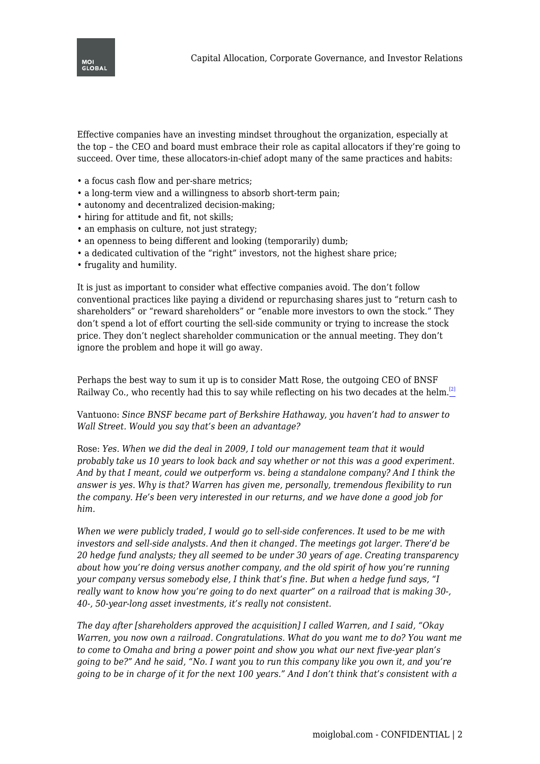

Effective companies have an investing mindset throughout the organization, especially at the top – the CEO and board must embrace their role as capital allocators if they're going to succeed. Over time, these allocators-in-chief adopt many of the same practices and habits:

- a focus cash flow and per-share metrics;
- a long-term view and a willingness to absorb short-term pain;
- autonomy and decentralized decision-making;
- hiring for attitude and fit, not skills;
- an emphasis on culture, not just strategy;
- an openness to being different and looking (temporarily) dumb;
- a dedicated cultivation of the "right" investors, not the highest share price;
- frugality and humility.

It is just as important to consider what effective companies avoid. The don't follow conventional practices like paying a dividend or repurchasing shares just to "return cash to shareholders" or "reward shareholders" or "enable more investors to own the stock." They don't spend a lot of effort courting the sell-side community or trying to increase the stock price. They don't neglect shareholder communication or the annual meeting. They don't ignore the problem and hope it will go away.

<span id="page-1-0"></span>Perhaps the best way to sum it up is to consider Matt Rose, the outgoing CEO of BNSF Railway Co., who recently had this to say while reflecting on his two decades at the helm.<sup>[\[2\]](#page-2-1)</sup>

Vantuono: *Since BNSF became part of Berkshire Hathaway, you haven't had to answer to Wall Street. Would you say that's been an advantage?*

Rose: *Yes. When we did the deal in 2009, I told our management team that it would probably take us 10 years to look back and say whether or not this was a good experiment. And by that I meant, could we outperform vs. being a standalone company? And I think the answer is yes. Why is that? Warren has given me, personally, tremendous flexibility to run the company. He's been very interested in our returns, and we have done a good job for him.*

*When we were publicly traded, I would go to sell-side conferences. It used to be me with investors and sell-side analysts. And then it changed. The meetings got larger. There'd be 20 hedge fund analysts; they all seemed to be under 30 years of age. Creating transparency about how you're doing versus another company, and the old spirit of how you're running your company versus somebody else, I think that's fine. But when a hedge fund says, "I really want to know how you're going to do next quarter" on a railroad that is making 30-, 40-, 50-year-long asset investments, it's really not consistent.*

*The day after [shareholders approved the acquisition] I called Warren, and I said, "Okay Warren, you now own a railroad. Congratulations. What do you want me to do? You want me to come to Omaha and bring a power point and show you what our next five-year plan's going to be?" And he said, "No. I want you to run this company like you own it, and you're going to be in charge of it for the next 100 years." And I don't think that's consistent with a*